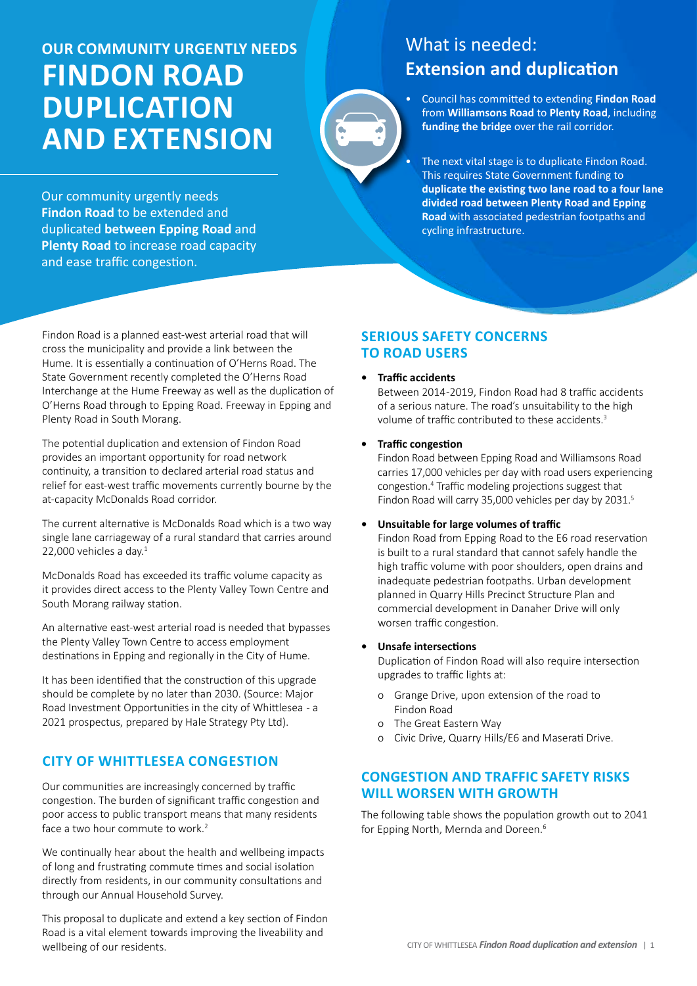# **Our community URGENTLY needs Findon Road duplication and extension**

Our community urgently needs **Findon Road** to be extended and duplicated **between Epping Road** and **Plenty Road** to increase road capacity and ease traffic congestion.

## What is needed: **Extension and duplication**

- Council has committed to extending **Findon Road** from **Williamsons Road** to **Plenty Road**, including **funding the bridge** over the rail corridor.
- The next vital stage is to duplicate Findon Road. This requires State Government funding to **duplicate the existing two lane road to a four lane divided road between Plenty Road and Epping Road** with associated pedestrian footpaths and cycling infrastructure.

Findon Road is a planned east-west arterial road that will cross the municipality and provide a link between the Hume. It is essentially a continuation of O'Herns Road. The State Government recently completed the O'Herns Road Interchange at the Hume Freeway as well as the duplication of O'Herns Road through to Epping Road. Freeway in Epping and Plenty Road in South Morang.

The potential duplication and extension of Findon Road provides an important opportunity for road network continuity, a transition to declared arterial road status and relief for east-west traffic movements currently bourne by the at-capacity McDonalds Road corridor.

The current alternative is McDonalds Road which is a two way single lane carriageway of a rural standard that carries around 22,000 vehicles a day. $1$ 

McDonalds Road has exceeded its traffic volume capacity as it provides direct access to the Plenty Valley Town Centre and South Morang railway station.

An alternative east-west arterial road is needed that bypasses the Plenty Valley Town Centre to access employment destinations in Epping and regionally in the City of Hume.

It has been identified that the construction of this upgrade should be complete by no later than 2030. (Source: Major Road Investment Opportunities in the city of Whittlesea - a 2021 prospectus, prepared by Hale Strategy Pty Ltd).

## **City of Whittlesea congestion**

Our communities are increasingly concerned by traffic congestion. The burden of significant traffic congestion and poor access to public transport means that many residents face a two hour commute to work.<sup>2</sup>

We continually hear about the health and wellbeing impacts of long and frustrating commute times and social isolation directly from residents, in our community consultations and through our Annual Household Survey.

This proposal to duplicate and extend a key section of Findon Road is a vital element towards improving the liveability and wellbeing of our residents.

### **Serious safety concerns to road users**

#### **• Traffic accidents**

Between 2014 -2019, Findon Road had 8 traffic accidents of a serious nature. The road's unsuitability to the high volume of traffic contributed to these accidents.<sup>3</sup>

#### **Fraffic congestion**

Findon Road between Epping Road and Williamsons Road carries 17,000 vehicles per day with road users experiencing congestion.4 Traffic modeling projections suggest that Findon Road will carry 35,000 vehicles per day by 2031.5

#### **• Unsuitable for large volumes of traffic**

Findon Road from Epping Road to the E6 road reservation is built to a rural standard that cannot safely handle the high traffic volume with poor shoulders, open drains and inadequate pedestrian footpaths. Urban development planned in Quarry Hills Precinct Structure Plan and commercial development in Danaher Drive will only worsen traffic congestion.

#### **Unsafe intersections**

Duplication of Findon Road will also require intersection upgrades to traffic lights at:

- o Grange Drive, upon extension of the road to Findon Road
- o The Great Eastern Way
- o Civic Drive, Quarry Hills/E6 and Maserati Drive.

#### **Congestion and traffic safety risks will worsen with growth**

The following table shows the population growth out to 2041 for Epping North, Mernda and Doreen.<sup>6</sup>